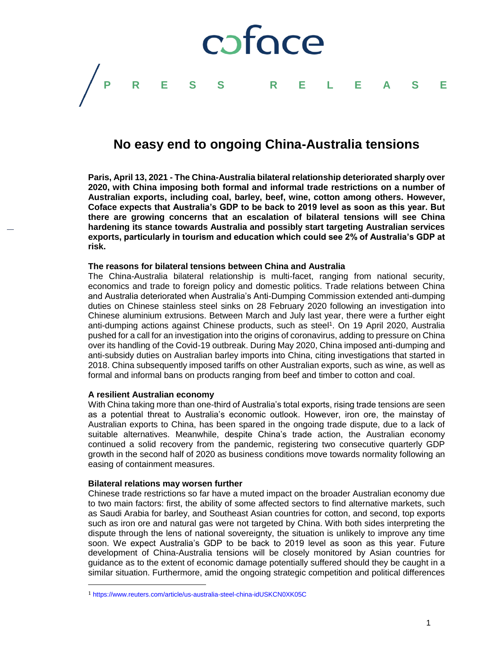

# **No easy end to ongoing China-Australia tensions**

**Paris, April 13, 2021 - The China-Australia bilateral relationship deteriorated sharply over 2020, with China imposing both formal and informal trade restrictions on a number of Australian exports, including coal, barley, beef, wine, cotton among others. However, Coface expects that Australia's GDP to be back to 2019 level as soon as this year. But there are growing concerns that an escalation of bilateral tensions will see China hardening its stance towards Australia and possibly start targeting Australian services exports, particularly in tourism and education which could see 2% of Australia's GDP at risk.** 

### **The reasons for bilateral tensions between China and Australia**

The China-Australia bilateral relationship is multi-facet, ranging from national security, economics and trade to foreign policy and domestic politics. Trade relations between China and Australia deteriorated when Australia's Anti-Dumping Commission extended anti-dumping duties on Chinese stainless steel sinks on 28 February 2020 following an investigation into Chinese aluminium extrusions. Between March and July last year, there were a further eight anti-dumping actions against Chinese products, such as steel<sup>1</sup>. On 19 April 2020, Australia pushed for a call for an investigation into the origins of coronavirus, adding to pressure on China over its handling of the Covid-19 outbreak. During May 2020, China imposed anti-dumping and anti-subsidy duties on Australian barley imports into China, citing investigations that started in 2018. China subsequently imposed tariffs on other Australian exports, such as wine, as well as formal and informal bans on products ranging from beef and timber to cotton and coal.

### **A resilient Australian economy**

With China taking more than one-third of Australia's total exports, rising trade tensions are seen as a potential threat to Australia's economic outlook. However, iron ore, the mainstay of Australian exports to China, has been spared in the ongoing trade dispute, due to a lack of suitable alternatives. Meanwhile, despite China's trade action, the Australian economy continued a solid recovery from the pandemic, registering two consecutive quarterly GDP growth in the second half of 2020 as business conditions move towards normality following an easing of containment measures.

### **Bilateral relations may worsen further**

l

Chinese trade restrictions so far have a muted impact on the broader Australian economy due to two main factors: first, the ability of some affected sectors to find alternative markets, such as Saudi Arabia for barley, and Southeast Asian countries for cotton, and second, top exports such as iron ore and natural gas were not targeted by China. With both sides interpreting the dispute through the lens of national sovereignty, the situation is unlikely to improve any time soon. We expect Australia's GDP to be back to 2019 level as soon as this year. Future development of China-Australia tensions will be closely monitored by Asian countries for guidance as to the extent of economic damage potentially suffered should they be caught in a similar situation. Furthermore, amid the ongoing strategic competition and political differences

<sup>1</sup> <https://www.reuters.com/article/us-australia-steel-china-idUSKCN0XK05C>